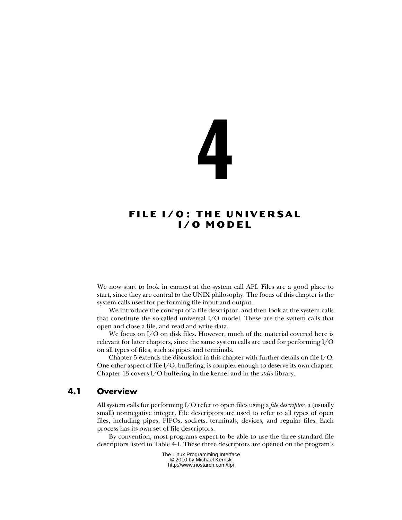# 4

# **FILE I/O: THE UNIVERSAL I/O MODEL**

We now start to look in earnest at the system call API. Files are a good place to start, since they are central to the UNIX philosophy. The focus of this chapter is the system calls used for performing file input and output.

We introduce the concept of a file descriptor, and then look at the system calls that constitute the so-called universal  $I/O$  model. These are the system calls that open and close a file, and read and write data.

We focus on I/O on disk files. However, much of the material covered here is relevant for later chapters, since the same system calls are used for performing  $I/O$ on all types of files, such as pipes and terminals.

Chapter 5 extends the discussion in this chapter with further details on file I/O. One other aspect of file I/O, buffering, is complex enough to deserve its own chapter. Chapter 13 covers I/O buffering in the kernel and in the stdio library.

## **4.1 Overview**

All system calls for performing  $I/O$  refer to open files using a *file descriptor*, a (usually small) nonnegative integer. File descriptors are used to refer to all types of open files, including pipes, FIFOs, sockets, terminals, devices, and regular files. Each process has its own set of file descriptors.

By convention, most programs expect to be able to use the three standard file descriptors listed in [Table 4-1.](#page-1-0) These three descriptors are opened on the program's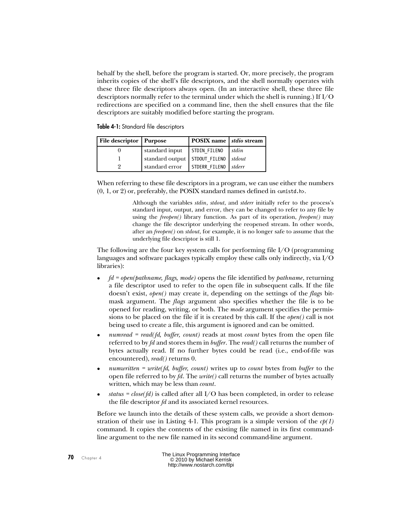<span id="page-1-0"></span>behalf by the shell, before the program is started. Or, more precisely, the program inherits copies of the shell's file descriptors, and the shell normally operates with these three file descriptors always open. (In an interactive shell, these three file descriptors normally refer to the terminal under which the shell is running.) If I/O redirections are specified on a command line, then the shell ensures that the file descriptors are suitably modified before starting the program.

**Table 4-1:** Standard file descriptors

| File descriptor   Purpose |                                          | <b>POSIX</b> name stdio stream |        |
|---------------------------|------------------------------------------|--------------------------------|--------|
|                           | standard input                           | STDIN FILENO                   | stdin  |
|                           | standard output   STDOUT_FILENO   stdout |                                |        |
| 9                         | standard error                           | STDERR FILENO                  | stderr |

When referring to these file descriptors in a program, we can use either the numbers  $(0, 1, \text{or } 2)$  or, preferably, the POSIX standard names defined in  $\langle$ unistd.h>.

> Although the variables *stdin, stdout,* and *stderr* initially refer to the process's standard input, output, and error, they can be changed to refer to any file by using the freopen() library function. As part of its operation, free pen() may change the file descriptor underlying the reopened stream. In other words, after an freopen() on stdout, for example, it is no longer safe to assume that the underlying file descriptor is still 1.

The following are the four key system calls for performing file  $I/O$  (programming languages and software packages typically employ these calls only indirectly, via I/O libraries):

- $fd = open(pathname, flags, mode)$  opens the file identified by *pathname*, returning a file descriptor used to refer to the open file in subsequent calls. If the file doesn't exist,  $open()$  may create it, depending on the settings of the *flags* bitmask argument. The *flags* argument also specifies whether the file is to be opened for reading, writing, or both. The mode argument specifies the permissions to be placed on the file if it is created by this call. If the  $open()$  call is not being used to create a file, this argument is ignored and can be omitted.
- *numread*  $= read(fd, buffer, count)$  reads at most *count* bytes from the open file referred to by fd and stores them in *buffer*. The read() call returns the number of bytes actually read. If no further bytes could be read (i.e., end-of-file was encountered), *read*() returns 0.
- numwritten  $=$  write(fd, buffer, count) writes up to count bytes from buffer to the open file referred to by  $fd$ . The *write*() call returns the number of bytes actually written, which may be less than count.
- *status* = *close(fd)* is called after all I/O has been completed, in order to release the file descriptor fd and its associated kernel resources.

Before we launch into the details of these system calls, we provide a short demon-stration of their use in [Listing 4-1.](#page-2-0) This program is a simple version of the  $cp(1)$ command. It copies the contents of the existing file named in its first commandline argument to the new file named in its second command-line argument.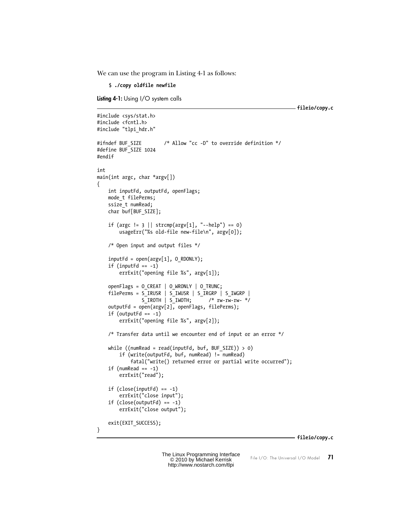<span id="page-2-0"></span>We can use the program in Listing 4-1 as follows:

#### \$ **./copy oldfile newfile**

Listing 4-1: Using I/O system calls

```
 fileio/copy.c
#include <sys/stat.h>
#include <fcntl.h>
#include "tlpi hdr.h"
#ifndef BUF SIZE /* Allow "cc -D" to override definition */
#define BUF_SIZE 1024
#endif
int
main(int argc, char *argv[])
{
     int inputFd, outputFd, openFlags;
     mode_t filePerms;
     ssize_t numRead;
    char buf[BUF SIZE];
    if (argc != 3 || strcmp(argv[1], "--help") == 0)
         usageErr("%s old-file new-file\n", argv[0]);
     /* Open input and output files */
    inputFd = open(argv[1], 0 RDOMLY);if (inputFd == -1)
        errExit("opening file %s", argv[1]);
     openFlags = O_CREAT | O_WRONLY | O_TRUNC;
     filePerms = S_IRUSR | S_IWUSR | S_IRGRP | S_IWGRP |
                S_IROTH \vert S_IWOTH; /* rw-rw-rw- */
     outputFd = open(argv[2], openFlags, filePerms);
    if (outputFd == -1)
         errExit("opening file %s", argv[2]);
     /* Transfer data until we encounter end of input or an error */
    while ((numRead = read(inputFd, buf, BUF SIZE)) > 0)
         if (write(outputFd, buf, numRead) != numRead)
             fatal("write() returned error or partial write occurred");
    if (numRead == -1)
         errExit("read");
    if (close(inputFd) == -1) errExit("close input");
    if (close(outputFd) == -1) errExit("close output");
    exit(EXIT_SUCCESS);
}
```
**fileio/copy.c**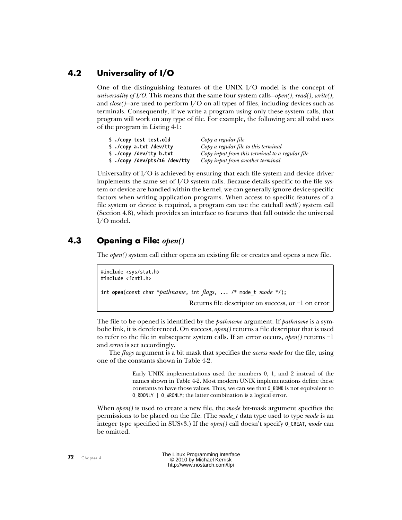# **4.2 Universality of I/O**

One of the distinguishing features of the UNIX I/O model is the concept of universality of I/O. This means that the same four system calls—open(), read(), write(), and  $close$ )—are used to perform I/O on all types of files, including devices such as terminals. Consequently, if we write a program using only these system calls, that program will work on any type of file. For example, the following are all valid uses of the program in [Listing 4-1:](#page-2-0)

| S ./copy test test.old         | Copy a regular file                             |
|--------------------------------|-------------------------------------------------|
| \$./copy a.txt /dev/tty        | Copy a regular file to this terminal            |
| \$./copy /dev/tty b.txt        | Copy input from this terminal to a regular file |
| \$ ./copy /dev/pts/16 /dev/tty | Copy input from another terminal                |

Universality of  $I/O$  is achieved by ensuring that each file system and device driver implements the same set of  $I/O$  system calls. Because details specific to the file system or device are handled within the kernel, we can generally ignore device-specific factors when writing application programs. When access to specific features of a file system or device is required, a program can use the catchall ioctl() system call [\(Section 4.8\)](#page-17-0), which provides an interface to features that fall outside the universal I/O model.

# **4.3 Opening a File: open()**

The *open*() system call either opens an existing file or creates and opens a new file.

```
#include <sys/stat.h>
#include <fcntl.h>
int open(const char *pathname, int flags, ... /* mode_t mode */);
                               Returns file descriptor on success, or –1 on error
```
The file to be opened is identified by the *pathname* argument. If *pathname* is a symbolic link, it is dereferenced. On success,  $open()$  returns a file descriptor that is used to refer to the file in subsequent system calls. If an error occurs,  $open()$  returns  $-1$ and errno is set accordingly.

The *flags* argument is a bit mask that specifies the *access mode* for the file, using one of the constants shown in [Table 4-2.](#page-4-0)

> Early UNIX implementations used the numbers 0, 1, and 2 instead of the names shown in [Table 4-2.](#page-4-0) Most modern UNIX implementations define these constants to have those values. Thus, we can see that O\_RDWR is not equivalent to O\_RDONLY | O\_WRONLY; the latter combination is a logical error.

When  $open()$  is used to create a new file, the mode bit-mask argument specifies the permissions to be placed on the file. (The *mode\_t* data type used to type *mode* is an integer type specified in SUSv3.) If the *open()* call doesn't specify 0 CREAT, mode can be omitted.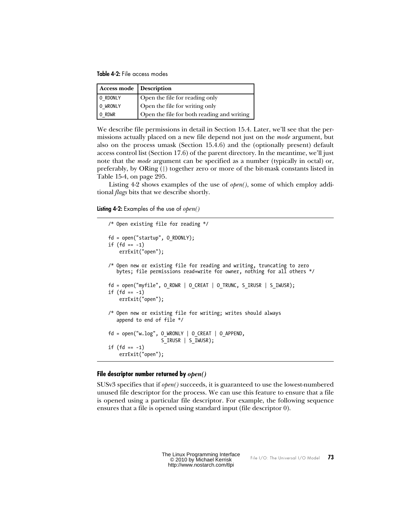<span id="page-4-0"></span>**Table 4-2:** File access modes

| <b>Access mode Description</b> |                                            |  |
|--------------------------------|--------------------------------------------|--|
| O RDONLY                       | Open the file for reading only             |  |
| O WRONLY                       | Open the file for writing only             |  |
| 0_RDWR                         | Open the file for both reading and writing |  |

We describe file permissions in detail in Section 15.4. Later, we'll see that the permissions actually placed on a new file depend not just on the *mode* argument, but also on the process umask (Section 15.4.6) and the (optionally present) default access control list (Section 17.6) of the parent directory. In the meantime, we'll just note that the *mode* argument can be specified as a number (typically in octal) or, preferably, by ORing (|) together zero or more of the bit-mask constants listed in Table 15-4, on page 295.

Listing 4-2 shows examples of the use of open(), some of which employ additional flags bits that we describe shortly.

**Listing 4-2:** Examples of the use of *open()* 

```
 /* Open existing file for reading */
 fd = open("startup", O_RDONLY);
 if (fd == -1)
     errExit("open");
/* Open new or existing file for reading and writing, truncating to zero 
   bytes; file permissions read+write for owner, nothing for all others */
fd = open("myfile", 0 RDW | 0 CREAT | 0 TRUNC, S IRUSR | SIWUSR);if (fd == -1) errExit("open");
 /* Open new or existing file for writing; writes should always
    append to end of file */
fd = open("w.log", 0 WRONLY | 0 CREAT | 0 APPEND,S IRUSR | S IWUSR);
 if (fd == -1)
     errExit("open");
```
### **File descriptor number returned by open()**

SUSv3 specifies that if open() succeeds, it is guaranteed to use the lowest-numbered unused file descriptor for the process. We can use this feature to ensure that a file is opened using a particular file descriptor. For example, the following sequence ensures that a file is opened using standard input (file descriptor 0).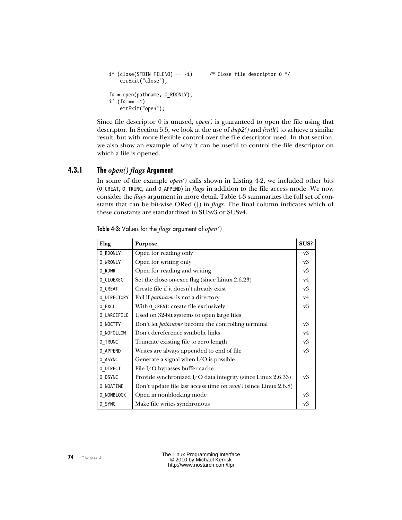```
if (close(STDIN FILENO) == -1) / /* Close file descriptor 0 */
     errExit("close");
fd = open(pathname, O_RDONLY);
if (fd == -1)
     errExit("open");
```
Since file descriptor 0 is unused,  $open()$  is guaranteed to open the file using that descriptor. In Section 5.5, we look at the use of  $dup2()$  and  $fcntI()$  to achieve a similar result, but with more flexible control over the file descriptor used. In that section, we also show an example of why it can be useful to control the file descriptor on which a file is opened.

## **4.3.1 The open() flags Argument**

In some of the example  $open()$  calls shown in [Listing 4-2,](#page-4-0) we included other bits ( $0$ \_CREAT,  $0$ \_TRUNC, and  $0$ \_APPEND) in *flags* in addition to the file access mode. We now consider the flags argument in more detail. Table 4-3 summarizes the full set of constants that can be bit-wise ORed  $($ ] in *flags*. The final column indicates which of these constants are standardized in SUSv3 or SUSv4.

| Flag        | <b>Purpose</b>                                                   | SUS? |
|-------------|------------------------------------------------------------------|------|
| 0_RDONLY    | Open for reading only                                            | v3   |
| O WRONLY    | Open for writing only                                            | v3   |
| O RDWR      | Open for reading and writing                                     | v3   |
| O_CLOEXEC   | Set the close-on-exec flag (since Linux 2.6.23)                  | v4   |
| O CREAT     | Create file if it doesn't already exist                          | v3   |
| O DIRECTORY | Fail if <i>pathname</i> is not a directory                       | v4   |
| O EXCL      | With 0 CREAT: create file exclusively                            | v3   |
| O LARGEFILE | Used on 32-bit systems to open large files                       |      |
| O_NOCTTY    | Don't let <i>pathname</i> become the controlling terminal        | v3   |
| O NOFOLLOW  | Don't dereference symbolic links                                 | v4   |
| O TRUNC     | Truncate existing file to zero length                            | v3   |
| O APPEND    | Writes are always appended to end of file                        | v3   |
| O ASYNC     | Generate a signal when $I/O$ is possible                         |      |
| O_DIRECT    | File $I/O$ bypasses buffer cache                                 |      |
| 0_DSYNC     | Provide synchronized I/O data integrity (since Linux 2.6.33)     | v3   |
| O NOATIME   | Don't update file last access time on read() (since Linux 2.6.8) |      |
| O NONBLOCK  | Open in nonblocking mode                                         | v3   |
| O SYNC      | Make file writes synchronous                                     | v3   |

Table 4-3: Values for the *flags* argument of *open()*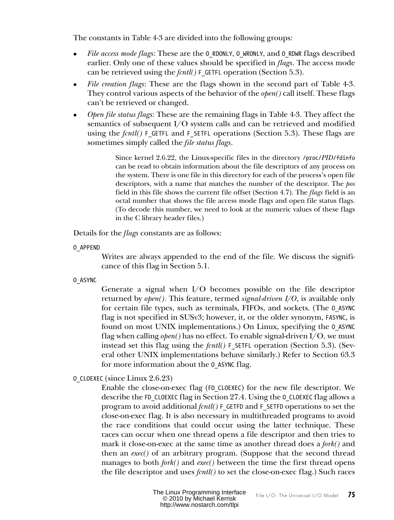The constants in Table 4-3 are divided into the following groups:

- File access mode flags: These are the 0\_RDONLY, 0\_WRONLY, and 0\_RDWR flags described earlier. Only one of these values should be specified in *flags*. The access mode can be retrieved using the  $fentl()$  F\_GETFL operation (Section 5.3).
- File creation flags: These are the flags shown in the second part of Table 4-3. They control various aspects of the behavior of the *open*() call itself. These flags can't be retrieved or changed.
- Open file status flags: These are the remaining flags in Table 4-3. They affect the semantics of subsequent I/O system calls and can be retrieved and modified using the  $fentl()$  F\_GETFL and F\_SETFL operations (Section 5.3). These flags are sometimes simply called the *file status flags*.

Since kernel 2.6.22, the Linux-specific files in the directory /proc/PID/fdinfo can be read to obtain information about the file descriptors of any process on the system. There is one file in this directory for each of the process's open file descriptors, with a name that matches the number of the descriptor. The pos field in this file shows the current file offset (Section 4.7). The flags field is an octal number that shows the file access mode flags and open file status flags. (To decode this number, we need to look at the numeric values of these flags in the C library header files.)

Details for the flags constants are as follows:

O\_APPEND

Writes are always appended to the end of the file. We discuss the significance of this flag in Section 5.1.

O\_ASYNC

Generate a signal when  $I/O$  becomes possible on the file descriptor returned by *open*(). This feature, termed *signal-driven I/O*, is available only for certain file types, such as terminals, FIFOs, and sockets. (The O\_ASYNC flag is not specified in SUSv3; however, it, or the older synonym, FASYNC, is found on most UNIX implementations.) On Linux, specifying the O\_ASYNC flag when calling  $open()$  has no effect. To enable signal-driven I/O, we must instead set this flag using the  $fentl$  F SETFL operation (Section 5.3). (Several other UNIX implementations behave similarly.) Refer to Section 63.3 for more information about the 0 ASYNC flag.

#### O\_CLOEXEC (since Linux 2.6.23)

Enable the close-on-exec flag (FD\_CLOEXEC) for the new file descriptor. We describe the FD\_CLOEXEC flag in Section 27.4. Using the O\_CLOEXEC flag allows a program to avoid additional  $fentl$  F GETFD and F SETFD operations to set the close-on-exec flag. It is also necessary in multithreaded programs to avoid the race conditions that could occur using the latter technique. These races can occur when one thread opens a file descriptor and then tries to mark it close-on-exec at the same time as another thread does a  $fork()$  and then an  $exec()$  of an arbitrary program. (Suppose that the second thread manages to both  $\text{fork}()$  and  $\text{exec}(')$  between the time the first thread opens the file descriptor and uses  $fentl()$  to set the close-on-exec flag.) Such races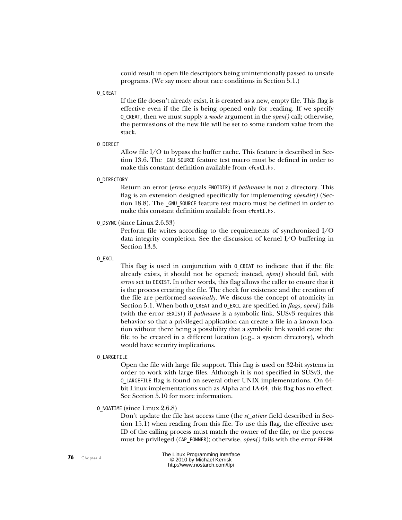could result in open file descriptors being unintentionally passed to unsafe programs. (We say more about race conditions in Section 5.1.)

O\_CREAT

If the file doesn't already exist, it is created as a new, empty file. This flag is effective even if the file is being opened only for reading. If we specify O CREAT, then we must supply a *mode* argument in the *open()* call; otherwise, the permissions of the new file will be set to some random value from the stack.

#### O\_DIRECT

Allow file I/O to bypass the buffer cache. This feature is described in Section 13.6. The \_GNU\_SOURCE feature test macro must be defined in order to make this constant definition available from <fcntl.h>.

O\_DIRECTORY

Return an error (errno equals ENOTDIR) if pathname is not a directory. This flag is an extension designed specifically for implementing *opendir()* (Section 18.8). The \_GNU\_SOURCE feature test macro must be defined in order to make this constant definition available from  $\epsilon$  fentl.h>.

```
O_DSYNC (since Linux 2.6.33)
```
Perform file writes according to the requirements of synchronized I/O data integrity completion. See the discussion of kernel  $I/O$  buffering in Section 13.3.

O\_EXCL

This flag is used in conjunction with O\_CREAT to indicate that if the file already exists, it should not be opened; instead, open() should fail, with errno set to EEXIST. In other words, this flag allows the caller to ensure that it is the process creating the file. The check for existence and the creation of the file are performed atomically. We discuss the concept of atomicity in Section 5.1. When both 0 CREAT and 0 EXCL are specified in *flags, open()* fails (with the error EEXIST) if *pathname* is a symbolic link. SUSv3 requires this behavior so that a privileged application can create a file in a known location without there being a possibility that a symbolic link would cause the file to be created in a different location (e.g., a system directory), which would have security implications.

#### O\_LARGEFILE

Open the file with large file support. This flag is used on 32-bit systems in order to work with large files. Although it is not specified in SUSv3, the O\_LARGEFILE flag is found on several other UNIX implementations. On 64 bit Linux implementations such as Alpha and IA-64, this flag has no effect. See Section 5.10 for more information.

O NOATIME (since Linux 2.6.8)

Don't update the file last access time (the st\_atime field described in Section 15.1) when reading from this file. To use this flag, the effective user ID of the calling process must match the owner of the file, or the process must be privileged (CAP\_FOWNER); otherwise, *open()* fails with the error EPERM.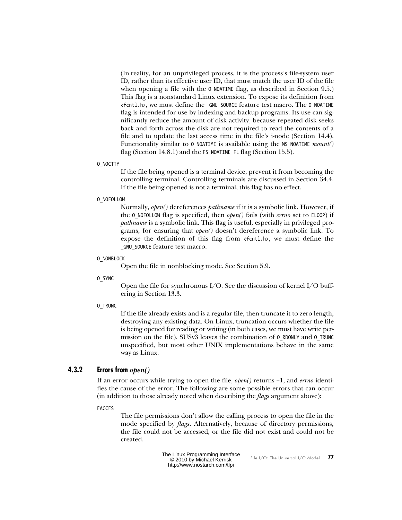(In reality, for an unprivileged process, it is the process's file-system user ID, rather than its effective user ID, that must match the user ID of the file when opening a file with the 0 NOATIME flag, as described in Section 9.5.) This flag is a nonstandard Linux extension. To expose its definition from <fcntl.h>, we must define the \_GNU\_SOURCE feature test macro. The O\_NOATIME flag is intended for use by indexing and backup programs. Its use can significantly reduce the amount of disk activity, because repeated disk seeks back and forth across the disk are not required to read the contents of a file and to update the last access time in the file's i-node (Section 14.4). Functionality similar to 0 NOATIME is available using the MS NOATIME  $mount()$ flag (Section 14.8.1) and the FS NOATIME FL flag (Section 15.5).

O\_NOCTTY

If the file being opened is a terminal device, prevent it from becoming the controlling terminal. Controlling terminals are discussed in Section 34.4. If the file being opened is not a terminal, this flag has no effect.

O\_NOFOLLOW

Normally, *open*() dereferences *pathname* if it is a symbolic link. However, if the 0 NOFOLLOW flag is specified, then  $open()$  fails (with *errno* set to ELOOP) if pathname is a symbolic link. This flag is useful, especially in privileged programs, for ensuring that  $open()$  doesn't dereference a symbolic link. To expose the definition of this flag from  $\langle$  fortl.h>, we must define the \_GNU\_SOURCE feature test macro.

O\_NONBLOCK

Open the file in nonblocking mode. See Section 5.9.

O\_SYNC

Open the file for synchronous I/O. See the discussion of kernel I/O buffering in Section 13.3.

O\_TRUNC

If the file already exists and is a regular file, then truncate it to zero length, destroying any existing data. On Linux, truncation occurs whether the file is being opened for reading or writing (in both cases, we must have write permission on the file). SUSv3 leaves the combination of O\_RDONLY and O\_TRUNC unspecified, but most other UNIX implementations behave in the same way as Linux.

## **4.3.2 Errors from open()**

If an error occurs while trying to open the file,  $open()$  returns  $-1$ , and *errno* identifies the cause of the error. The following are some possible errors that can occur (in addition to those already noted when describing the *flags* argument above):

EACCES

The file permissions don't allow the calling process to open the file in the mode specified by flags. Alternatively, because of directory permissions, the file could not be accessed, or the file did not exist and could not be created.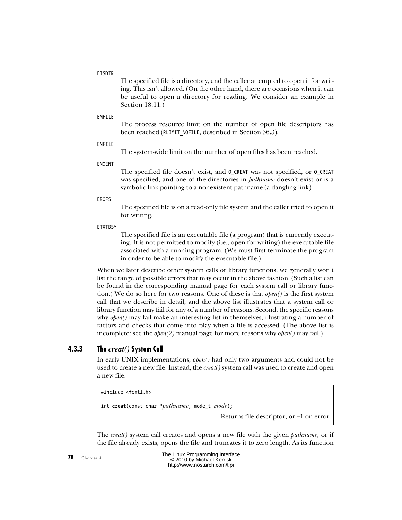#### **FTSDIR**

The specified file is a directory, and the caller attempted to open it for writing. This isn't allowed. (On the other hand, there are occasions when it can be useful to open a directory for reading. We consider an example in Section 18.11.)

#### EMFILE

The process resource limit on the number of open file descriptors has been reached (RLIMIT NOFILE, described in Section 36.3).

ENFILE

The system-wide limit on the number of open files has been reached.

ENOENT

The specified file doesn't exist, and 0 CREAT was not specified, or 0 CREAT was specified, and one of the directories in pathname doesn't exist or is a symbolic link pointing to a nonexistent pathname (a dangling link).

**FROFS** 

The specified file is on a read-only file system and the caller tried to open it for writing.

**ETXTBSY** 

The specified file is an executable file (a program) that is currently executing. It is not permitted to modify (i.e., open for writing) the executable file associated with a running program. (We must first terminate the program in order to be able to modify the executable file.)

When we later describe other system calls or library functions, we generally won't list the range of possible errors that may occur in the above fashion. (Such a list can be found in the corresponding manual page for each system call or library function.) We do so here for two reasons. One of these is that  $open()$  is the first system call that we describe in detail, and the above list illustrates that a system call or library function may fail for any of a number of reasons. Second, the specific reasons why *open*() may fail make an interesting list in themselves, illustrating a number of factors and checks that come into play when a file is accessed. (The above list is incomplete: see the  $open(2)$  manual page for more reasons why  $open()$  may fail.)

## **4.3.3 The creat() System Call**

In early UNIX implementations, open() had only two arguments and could not be used to create a new file. Instead, the *creat*() system call was used to create and open a new file.

#include <fcntl.h> int **creat**(const char \*pathname, mode t mode);

Returns file descriptor, or –1 on error

The *creat*() system call creates and opens a new file with the given *pathname*, or if the file already exists, opens the file and truncates it to zero length. As its function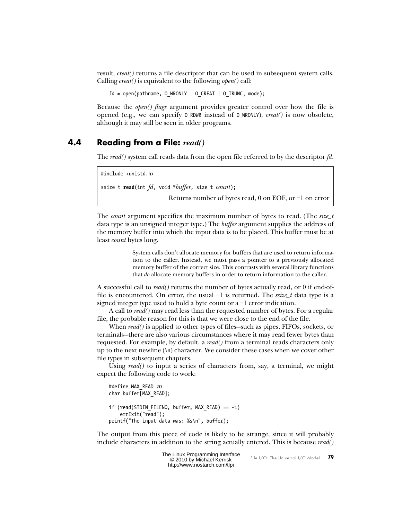result, *creat*() returns a file descriptor that can be used in subsequent system calls. Calling  $\text{creat}()$  is equivalent to the following  $\text{open}(()$  call:

 $fd = open(pathname, 0 WRONLY | 0 CREAT | 0 TRUNC, mode);$ 

Because the  $open()$  flags argument provides greater control over how the file is opened (e.g., we can specify  $0_RDWR$  instead of  $0_RNNMV$ ), creat() is now obsolete, although it may still be seen in older programs.

# **4.4 Reading from a File: read()**

The  $read()$  system call reads data from the open file referred to by the descriptor  $fd$ .

#include <unistd.h> ssize t **read**(int  $fd$ , void \*buffer, size t *count*); Returns number of bytes read, 0 on EOF, or –1 on error

The *count* argument specifies the maximum number of bytes to read. (The  $size_t$ data type is an unsigned integer type.) The *buffer* argument supplies the address of the memory buffer into which the input data is to be placed. This buffer must be at least count bytes long.

> System calls don't allocate memory for buffers that are used to return information to the caller. Instead, we must pass a pointer to a previously allocated memory buffer of the correct size. This contrasts with several library functions that do allocate memory buffers in order to return information to the caller.

A successful call to  $read()$  returns the number of bytes actually read, or 0 if end-offile is encountered. On error, the usual  $-1$  is returned. The *ssize\_t* data type is a signed integer type used to hold a byte count or a –1 error indication.

A call to read() may read less than the requested number of bytes. For a regular file, the probable reason for this is that we were close to the end of the file.

When read() is applied to other types of files—such as pipes, FIFOs, sockets, or terminals—there are also various circumstances where it may read fewer bytes than requested. For example, by default, a  $read()$  from a terminal reads characters only up to the next newline (\n) character. We consider these cases when we cover other file types in subsequent chapters.

Using  $read()$  to input a series of characters from, say, a terminal, we might expect the following code to work:

```
#define MAX_READ 20
char buffer[MAX_READ];
if (read(STDIN FILENO, buffer, MAX READ) == -1)
     errExit("read");
printf("The input data was: %s\n", buffer);
```
The output from this piece of code is likely to be strange, since it will probably include characters in addition to the string actually entered. This is because  $read()$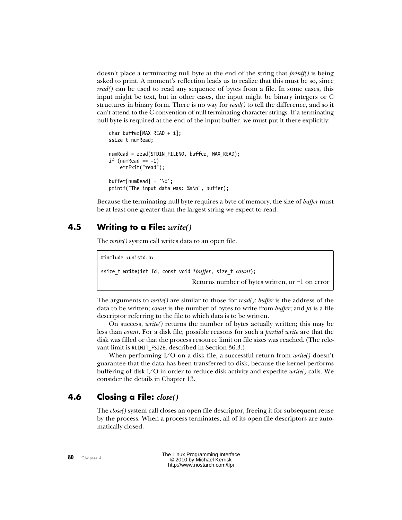doesn't place a terminating null byte at the end of the string that  $\text{printf}()$  is being asked to print. A moment's reflection leads us to realize that this must be so, since read() can be used to read any sequence of bytes from a file. In some cases, this input might be text, but in other cases, the input might be binary integers or C structures in binary form. There is no way for  $read()$  to tell the difference, and so it can't attend to the C convention of null terminating character strings. If a terminating null byte is required at the end of the input buffer, we must put it there explicitly:

```
char buffer[MAX READ + 1];
ssize t numRead;
numRead = read(STDIN FILENO, buffer, MAX READ);
if (numRead == -1)
     errExit("read");
buffer[numRead] = ' \0';printf("The input data was: %s\n", buffer);
```
Because the terminating null byte requires a byte of memory, the size of *buffer* must be at least one greater than the largest string we expect to read.

# **4.5 Writing to a File: write()**

The write() system call writes data to an open file.

#include <unistd.h> ssize t write(int fd, const void \*buffer, size t count); Returns number of bytes written, or –1 on error

The arguments to *write*() are similar to those for *read*(): *buffer* is the address of the data to be written; *count* is the number of bytes to write from *buffer*; and *fd* is a file descriptor referring to the file to which data is to be written.

On success, write() returns the number of bytes actually written; this may be less than *count*. For a disk file, possible reasons for such a *partial write* are that the disk was filled or that the process resource limit on file sizes was reached. (The relevant limit is RLIMIT FSIZE, described in Section 36.3.)

When performing I/O on a disk file, a successful return from  $write()$  doesn't guarantee that the data has been transferred to disk, because the kernel performs buffering of disk  $I/O$  in order to reduce disk activity and expedite *write*() calls. We consider the details in Chapter 13.

# **4.6 Closing a File: close()**

The *close*() system call closes an open file descriptor, freeing it for subsequent reuse by the process. When a process terminates, all of its open file descriptors are automatically closed.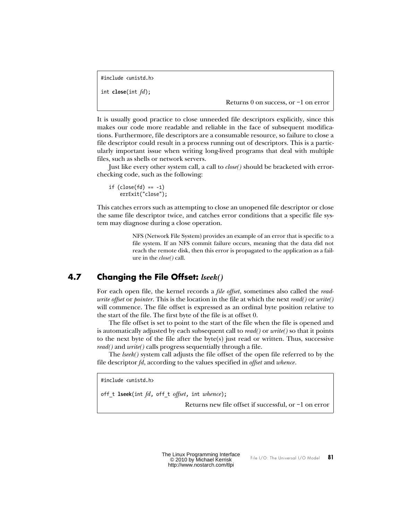```
#include <unistd.h>
int close(int fd);
```
Returns 0 on success, or –1 on error

It is usually good practice to close unneeded file descriptors explicitly, since this makes our code more readable and reliable in the face of subsequent modifications. Furthermore, file descriptors are a consumable resource, so failure to close a file descriptor could result in a process running out of descriptors. This is a particularly important issue when writing long-lived programs that deal with multiple files, such as shells or network servers.

Just like every other system call, a call to close() should be bracketed with errorchecking code, such as the following:

```
if (close(fd) == -1) errExit("close");
```
This catches errors such as attempting to close an unopened file descriptor or close the same file descriptor twice, and catches error conditions that a specific file system may diagnose during a close operation.

> NFS (Network File System) provides an example of an error that is specific to a file system. If an NFS commit failure occurs, meaning that the data did not reach the remote disk, then this error is propagated to the application as a failure in the close() call.

# **4.7 Changing the File Offset: lseek()**

For each open file, the kernel records a *file offset*, sometimes also called the *read*write offset or pointer. This is the location in the file at which the next read() or write() will commence. The file offset is expressed as an ordinal byte position relative to the start of the file. The first byte of the file is at offset 0.

The file offset is set to point to the start of the file when the file is opened and is automatically adjusted by each subsequent call to  $read()$  or  $write()$  so that it points to the next byte of the file after the byte(s) just read or written. Thus, successive read() and write() calls progress sequentially through a file.

The *lseek*() system call adjusts the file offset of the open file referred to by the file descriptor fd, according to the values specified in *offset* and whence.

#include <unistd.h>

off t lseek(int fd, off t offset, int whence);

Returns new file offset if successful, or –1 on error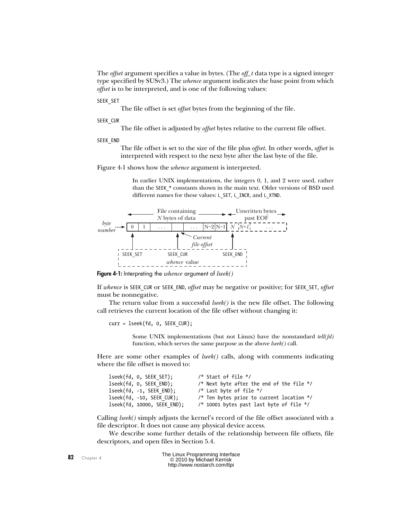The *offset* argument specifies a value in bytes. (The *off\_t* data type is a signed integer type specified by SUSv3.) The *whence* argument indicates the base point from which offset is to be interpreted, and is one of the following values:

#### SEEK\_SET

The file offset is set *offset* bytes from the beginning of the file.

SEEK\_CUR

The file offset is adjusted by *offset* bytes relative to the current file offset.

SEEK\_END

The file offset is set to the size of the file plus *offset*. In other words, *offset* is interpreted with respect to the next byte after the last byte of the file.

Figure 4-1 shows how the *whence* argument is interpreted.

In earlier UNIX implementations, the integers 0, 1, and 2 were used, rather than the SEEK\_\* constants shown in the main text. Older versions of BSD used different names for these values: L\_SET, L\_INCR, and L\_XTND.



**Figure 4-1:** Interpreting the *whence* argument of *lseek()* 

If whence is SEEK CUR or SEEK END, offset may be negative or positive; for SEEK SET, offset must be nonnegative.

The return value from a successful *lseek()* is the new file offset. The following call retrieves the current location of the file offset without changing it:

curr = lseek(fd, 0, SEEK\_CUR);

Some UNIX implementations (but not Linux) have the nonstandard tell(fd) function, which serves the same purpose as the above *lseek*() call.

Here are some other examples of  $\textit{lseek}()$  calls, along with comments indicating where the file offset is moved to:

| lseek(fd, 0, SEEK SET);     | $/*$ Start of file $*/$                       |
|-----------------------------|-----------------------------------------------|
| lseek(fd, 0, SEEK END);     | $/*$ Next byte after the end of the file $*/$ |
| lseek(fd, -1, SEEK END);    | $/*$ Last byte of file $*/$                   |
| lseek(fd, -10, SEEK CUR);   | $/*$ Ten bytes prior to current location $*/$ |
| lseek(fd, 10000, SEEK END); | $/*$ 10001 bytes past last byte of file $*/$  |

Calling *lseek*() simply adjusts the kernel's record of the file offset associated with a file descriptor. It does not cause any physical device access.

We describe some further details of the relationship between file offsets, file descriptors, and open files in Section 5.4.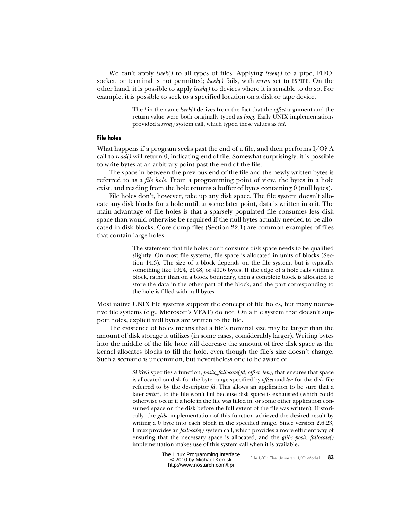We can't apply  $\text{leek}()$  to all types of files. Applying  $\text{leek}()$  to a pipe, FIFO, socket, or terminal is not permitted; *lseek*() fails, with *errno* set to ESPIPE. On the other hand, it is possible to apply  $\textit{lseek}()$  to devices where it is sensible to do so. For example, it is possible to seek to a specified location on a disk or tape device.

> The  $l$  in the name  $\text{leek}(l)$  derives from the fact that the *offset* argument and the return value were both originally typed as long. Early UNIX implementations provided a seek() system call, which typed these values as int.

#### **File holes**

What happens if a program seeks past the end of a file, and then performs  $I/O$ ? A call to  $read()$  will return 0, indicating end-of-file. Somewhat surprisingly, it is possible to write bytes at an arbitrary point past the end of the file.

The space in between the previous end of the file and the newly written bytes is referred to as a *file hole*. From a programming point of view, the bytes in a hole exist, and reading from the hole returns a buffer of bytes containing 0 (null bytes).

File holes don't, however, take up any disk space. The file system doesn't allocate any disk blocks for a hole until, at some later point, data is written into it. The main advantage of file holes is that a sparsely populated file consumes less disk space than would otherwise be required if the null bytes actually needed to be allocated in disk blocks. Core dump files (Section 22.1) are common examples of files that contain large holes.

> The statement that file holes don't consume disk space needs to be qualified slightly. On most file systems, file space is allocated in units of blocks (Section 14.3). The size of a block depends on the file system, but is typically something like 1024, 2048, or 4096 bytes. If the edge of a hole falls within a block, rather than on a block boundary, then a complete block is allocated to store the data in the other part of the block, and the part corresponding to the hole is filled with null bytes.

Most native UNIX file systems support the concept of file holes, but many nonnative file systems (e.g., Microsoft's VFAT) do not. On a file system that doesn't support holes, explicit null bytes are written to the file.

The existence of holes means that a file's nominal size may be larger than the amount of disk storage it utilizes (in some cases, considerably larger). Writing bytes into the middle of the file hole will decrease the amount of free disk space as the kernel allocates blocks to fill the hole, even though the file's size doesn't change. Such a scenario is uncommon, but nevertheless one to be aware of.

> SUSv3 specifies a function, *posix\_fallocate(fd, offset, len)*, that ensures that space is allocated on disk for the byte range specified by *offset* and *len* for the disk file referred to by the descriptor  $fd$ . This allows an application to be sure that a later write() to the file won't fail because disk space is exhausted (which could otherwise occur if a hole in the file was filled in, or some other application consumed space on the disk before the full extent of the file was written). Historically, the *glibc* implementation of this function achieved the desired result by writing a 0 byte into each block in the specified range. Since version 2.6.23, Linux provides an *fallocate*() system call, which provides a more efficient way of ensuring that the necessary space is allocated, and the glibc posix\_fallocate() implementation makes use of this system call when it is available.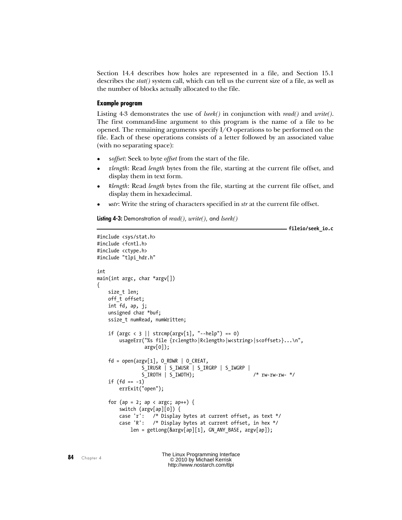<span id="page-15-0"></span>Section 14.4 describes how holes are represented in a file, and Section 15.1 describes the  $stat()$  system call, which can tell us the current size of a file, as well as the number of blocks actually allocated to the file.

#### **Example program**

[Listing 4-3](#page-15-0) demonstrates the use of lseek() in conjunction with read() and write(). The first command-line argument to this program is the name of a file to be opened. The remaining arguments specify  $I/O$  operations to be performed on the file. Each of these operations consists of a letter followed by an associated value (with no separating space):

- soffset: Seek to byte offset from the start of the file.
- *rlength:* Read *length* bytes from the file, starting at the current file offset, and display them in text form.
- Rlength: Read length bytes from the file, starting at the current file offset, and display them in hexadecimal.
- wstr: Write the string of characters specified in str at the current file offset.

**Listing 4-3:** Demonstration of *read(), write(),* and *lseek()* 

**fileio/seek\_io.c**

```
#include <sys/stat.h>
#include <fcntl.h>
#include <ctype.h>
#include "tlpi hdr.h"
int
main(int argc, char *argv[])
{
    size t len;
     off_t offset;
     int fd, ap, j;
     unsigned char *buf;
    ssize t numRead, numWritten;
    if (argc \langle 3 \rangle || strcmp(argv[1], "--help") == 0)
         usageErr("%s file {r<length>|R<length>|w<string>|s<offset>}...\n",
                 argv[0];
    fd = open(argv[1], 0 RDWR | 0 CREAT,
                S_IRUSR | S_IWUSR | S_IRGRP | S_IWGRP |
                 S_IROTH | S_IWOTH); /* rw-rw-rw- */
    if (fd == -1) errExit("open");
    for (ap = 2; ap < argc; ap++) {
         switch (argv[ap][0]) {
         case 'r': /* Display bytes at current offset, as text */
         case 'R': /* Display bytes at current offset, in hex */
            len = getLong(&argv[ap][1], GN ANY BASE, argv[ap]);
```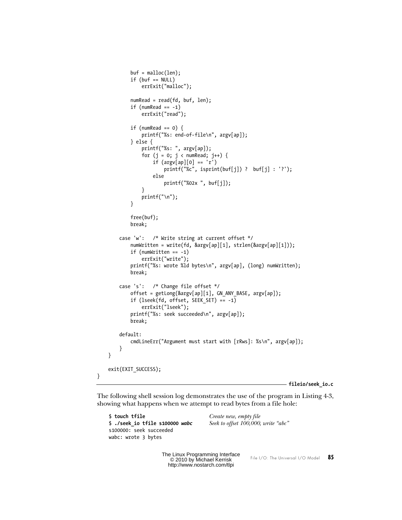```
buf = malloc(len);if (buf == NULL) errExit("malloc");
         numRead = read(fd, buf, len);
        if (numRead == -1)
             errExit("read");
        if (numRead == 0) {
             printf("%s: end-of-file\n", argv[ap]);
         } else {
             printf("%s: ", argv[ap]);
            for (j = 0; j \lt numRead; j++) {
                if (\arg v[\text{ap}][0] == 'r') printf("%c", isprint(buf[j]) ? buf[j] : '?');
                 else
                      printf("%02x ", buf[j]);
             }
             printf("\n");
         }
         free(buf);
         break;
     case 'w': /* Write string at current offset */
         numWritten = write(fd, &argv[ap][1], strlen(&argv[ap][1]));
         if (numWritten == -1)
             errExit("write");
        printf("%s: wrote %ld bytes\n", argv[ap], (long) numWritten);
         break;
     case 's': /* Change file offset */
        offset = getLong(&argv[ap][1], GN ANY BASE, argv[ap]);
        if (lseek(fd, offset, SEEK SET) == -1)
             errExit("lseek");
         printf("%s: seek succeeded\n", argv[ap]);
         break;
     default:
         cmdLineErr("Argument must start with [rRws]: %s\n", argv[ap]);
     }
 }
 exit(EXIT_SUCCESS);
```
**fileio/seek\_io.c**

The following shell session log demonstrates the use of the program in [Listing 4-3](#page-15-0), showing what happens when we attempt to read bytes from a file hole:

\$ **touch tfile** Create new, empty file \$ **./seek\_io tfile s100000** *wabc*Seek to offset 100,000, write "abc" s100000: seek succeeded wabc: wrote 3 bytes

}

The Linux Programming Interface © 2010 by Michael Kerrisk http://www.nostarch.com/tlpi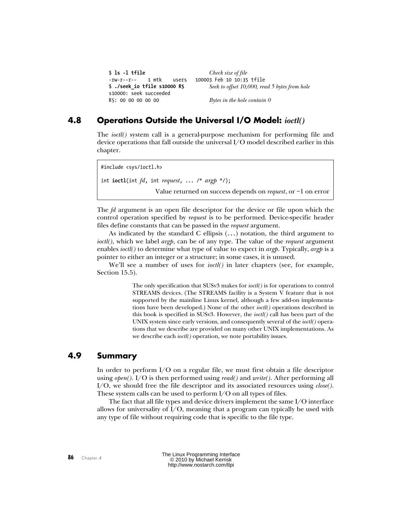<span id="page-17-0"></span>\$ **ls -l tfile** Check size of file -rw-r--r-- 1 mtk users 100003 Feb 10 10:35 tfile \$ **./seek\_io tfile s10000 R5** Seek to offset 10,000, read 5 bytes from hole s10000: seek succeeded R5: 00 00 00 00 00 00  $B$ ytes in the hole contain 0

# **4.8 Operations Outside the Universal I/O Model: ioctl()**

The *ioctl*() system call is a general-purpose mechanism for performing file and device operations that fall outside the universal  $I/O$  model described earlier in this chapter.

#include <sys/ioctl.h>

int **ioctl**(int *fd*, int *request*, ... /\*  $argp$  \*/);

Value returned on success depends on *request*, or  $-1$  on error

The fd argument is an open file descriptor for the device or file upon which the control operation specified by *request* is to be performed. Device-specific header files define constants that can be passed in the *request* argument.

As indicated by the standard C ellipsis (...) notation, the third argument to  $i\text{o}ctl()$ , which we label  $\text{arg}$ , can be of any type. The value of the *request* argument enables *ioctl()* to determine what type of value to expect in *argp*. Typically, *argp* is a pointer to either an integer or a structure; in some cases, it is unused.

We'll see a number of uses for *ioctl()* in later chapters (see, for example, Section 15.5).

> The only specification that SUSv3 makes for *ioctl()* is for operations to control STREAMS devices. (The STREAMS facility is a System V feature that is not supported by the mainline Linux kernel, although a few add-on implementations have been developed.) None of the other ioctl() operations described in this book is specified in SUSv3. However, the *ioctl()* call has been part of the UNIX system since early versions, and consequently several of the *ioctl()* operations that we describe are provided on many other UNIX implementations. As we describe each *ioctl()* operation, we note portability issues.

## **4.9 Summary**

In order to perform  $I/O$  on a regular file, we must first obtain a file descriptor using  $open(.)$ . I/O is then performed using read() and write(). After performing all I/O, we should free the file descriptor and its associated resources using  $close($ ). These system calls can be used to perform  $I/O$  on all types of files.

The fact that all file types and device drivers implement the same  $I/O$  interface allows for universality of  $I/O$ , meaning that a program can typically be used with any type of file without requiring code that is specific to the file type.